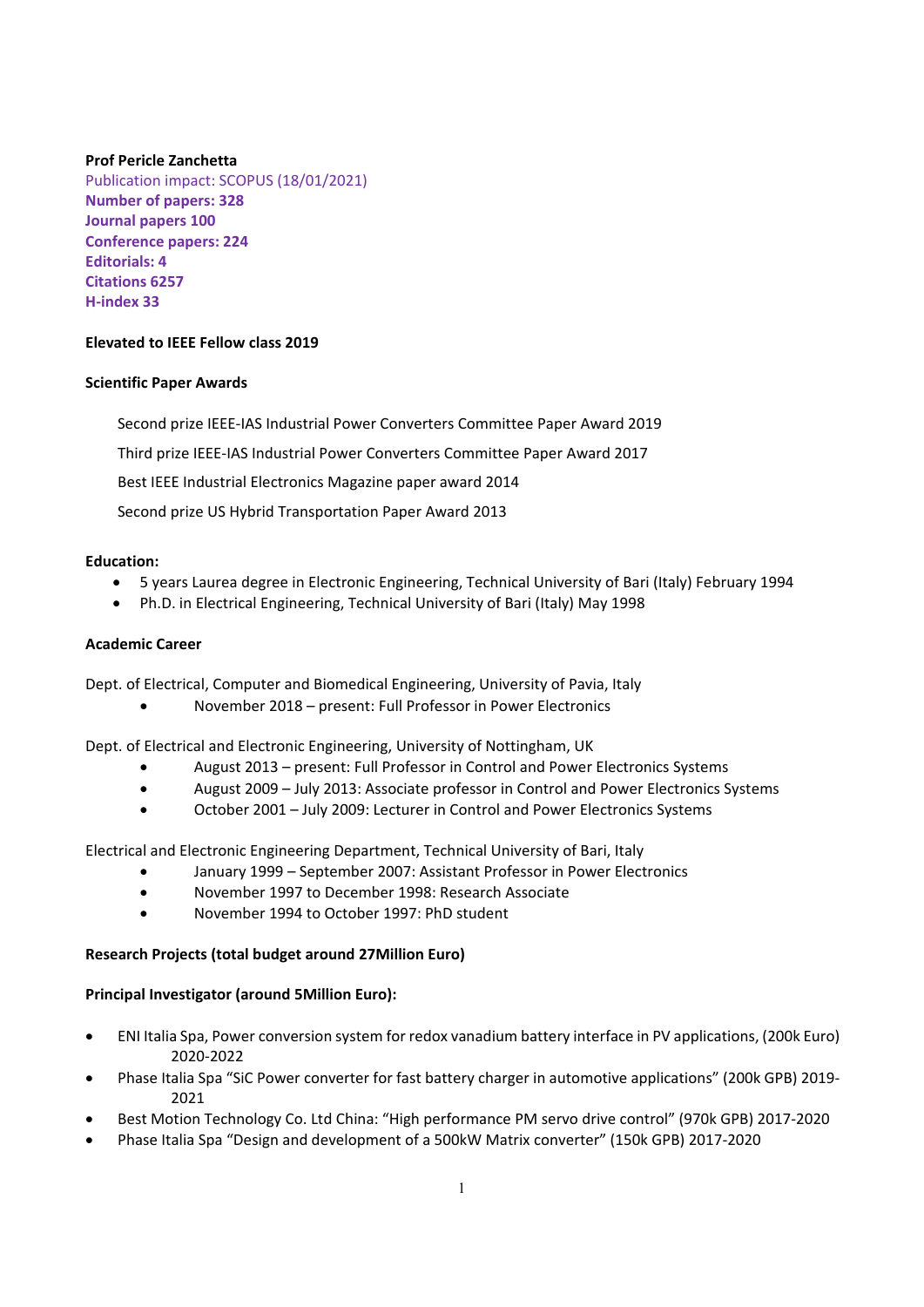### **Prof Pericle Zanchetta**

Publication impact: SCOPUS (18/01/2021) **Number of papers: 328 Journal papers 100 Conference papers: 224 Editorials: 4 Citations 6257 H‐index 33**

### **Elevated to IEEE Fellow class 2019**

#### **Scientific Paper Awards**

Second prize IEEE‐IAS Industrial Power Converters Committee Paper Award 2019 Third prize IEEE‐IAS Industrial Power Converters Committee Paper Award 2017 Best IEEE Industrial Electronics Magazine paper award 2014 Second prize US Hybrid Transportation Paper Award 2013

#### **Education:**

- 5 years Laurea degree in Electronic Engineering, Technical University of Bari (Italy) February 1994
- Ph.D. in Electrical Engineering, Technical University of Bari (Italy) May 1998

### **Academic Career**

Dept. of Electrical, Computer and Biomedical Engineering, University of Pavia, Italy

November 2018 – present: Full Professor in Power Electronics

Dept. of Electrical and Electronic Engineering, University of Nottingham, UK

- August 2013 present: Full Professor in Control and Power Electronics Systems
- August 2009 July 2013: Associate professor in Control and Power Electronics Systems
- October 2001 July 2009: Lecturer in Control and Power Electronics Systems

Electrical and Electronic Engineering Department, Technical University of Bari, Italy

- January 1999 September 2007: Assistant Professor in Power Electronics
- November 1997 to December 1998: Research Associate
- November 1994 to October 1997: PhD student

#### **Research Projects (total budget around 27Million Euro)**

#### **Principal Investigator (around 5Million Euro):**

- ENI Italia Spa, Power conversion system for redox vanadium battery interface in PV applications, (200k Euro) 2020‐2022
- Phase Italia Spa "SiC Power converter for fast battery charger in automotive applications" (200k GPB) 2019‐ 2021
- Best Motion Technology Co. Ltd China: "High performance PM servo drive control" (970k GPB) 2017‐2020
- Phase Italia Spa "Design and development of a 500kW Matrix converter" (150k GPB) 2017‐2020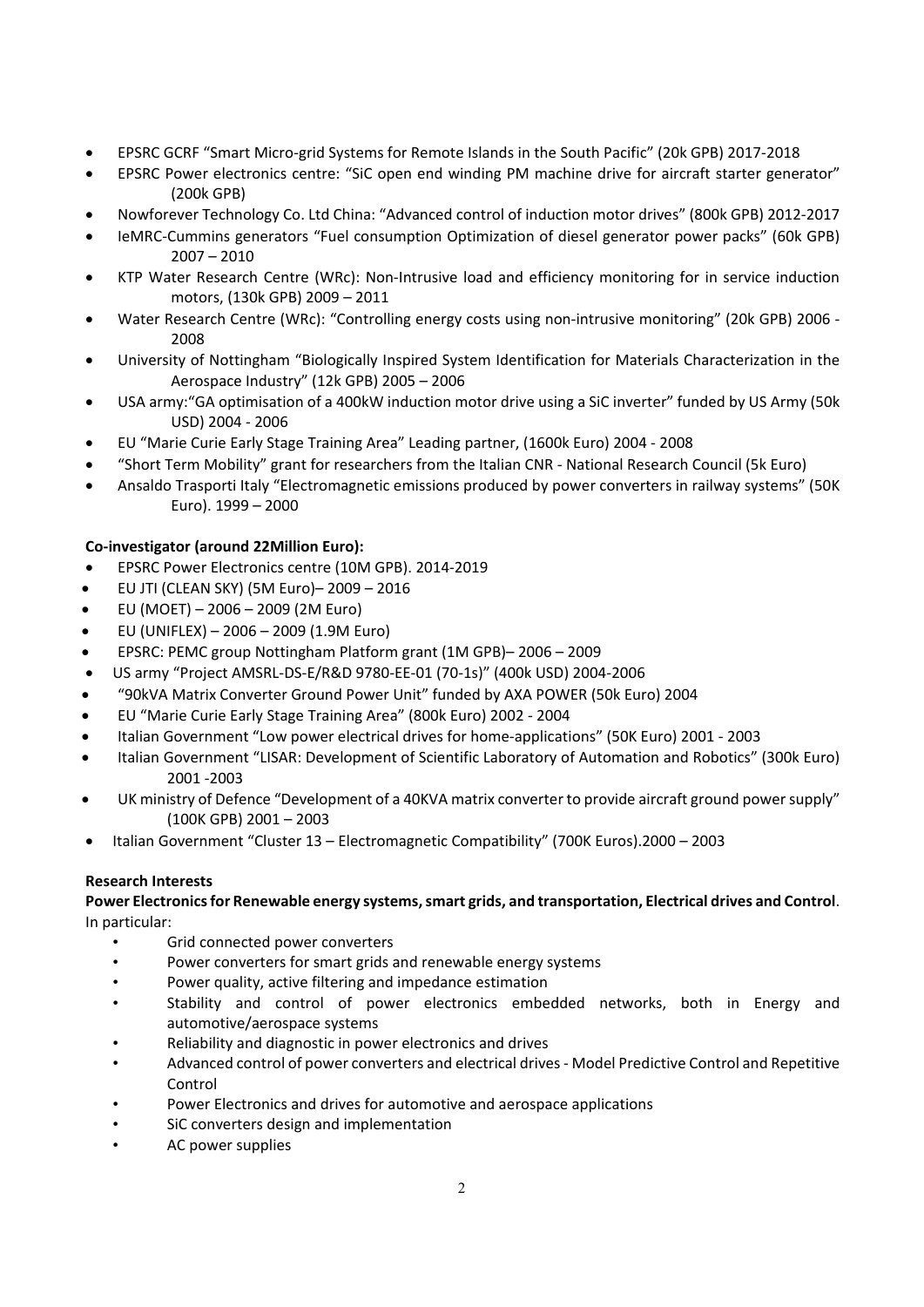- EPSRC GCRF "Smart Micro‐grid Systems for Remote Islands in the South Pacific" (20k GPB) 2017‐2018
- EPSRC Power electronics centre: "SiC open end winding PM machine drive for aircraft starter generator" (200k GPB)
- Nowforever Technology Co. Ltd China: "Advanced control of induction motor drives" (800k GPB) 2012‐2017
- IeMRC-Cummins generators "Fuel consumption Optimization of diesel generator power packs" (60k GPB) 2007 – 2010
- KTP Water Research Centre (WRc): Non-Intrusive load and efficiency monitoring for in service induction motors, (130k GPB) 2009 – 2011
- Water Research Centre (WRc): "Controlling energy costs using non-intrusive monitoring" (20k GPB) 2006 -2008
- University of Nottingham "Biologically Inspired System Identification for Materials Characterization in the Aerospace Industry" (12k GPB) 2005 – 2006
- USA army:"GA optimisation of a 400kW induction motor drive using a SiC inverter" funded by US Army (50k USD) 2004 ‐ 2006
- EU "Marie Curie Early Stage Training Area" Leading partner, (1600k Euro) 2004 ‐ 2008
- "Short Term Mobility" grant for researchers from the Italian CNR ‐ National Research Council (5k Euro)
- Ansaldo Trasporti Italy "Electromagnetic emissions produced by power converters in railway systems" (50K Euro). 1999 – 2000

# **Co‐investigator (around 22Million Euro):**

- EPSRC Power Electronics centre (10M GPB). 2014‐2019
- EU JTI (CLEAN SKY) (5M Euro)– 2009 2016
- EU (MOET) 2006 2009 (2M Euro)
- EU (UNIFLEX) 2006 2009 (1.9M Euro)
- EPSRC: PEMC group Nottingham Platform grant (1M GPB)– 2006 2009
- US army "Project AMSRL‐DS‐E/R&D 9780‐EE‐01 (70‐1s)" (400k USD) 2004‐2006
- "90kVA Matrix Converter Ground Power Unit" funded by AXA POWER (50k Euro) 2004
- EU "Marie Curie Early Stage Training Area" (800k Euro) 2002 ‐ 2004
- Italian Government "Low power electrical drives for home‐applications" (50K Euro) 2001 ‐ 2003
- Italian Government "LISAR: Development of Scientific Laboratory of Automation and Robotics" (300k Euro) 2001 ‐2003
- UK ministry of Defence "Development of a 40KVA matrix converter to provide aircraft ground power supply" (100K GPB) 2001 – 2003
- Italian Government "Cluster 13 Electromagnetic Compatibility" (700K Euros).2000 2003

### **Research Interests**

### **Power Electronics for Renewable energy systems, smart grids, and transportation, Electrical drives and Control**. In particular:

- Grid connected power converters
- Power converters for smart grids and renewable energy systems
- Power quality, active filtering and impedance estimation
- Stability and control of power electronics embedded networks, both in Energy and automotive/aerospace systems
- Reliability and diagnostic in power electronics and drives
- Advanced control of power converters and electrical drives ‐ Model Predictive Control and Repetitive Control
- Power Electronics and drives for automotive and aerospace applications
- SiC converters design and implementation
- AC power supplies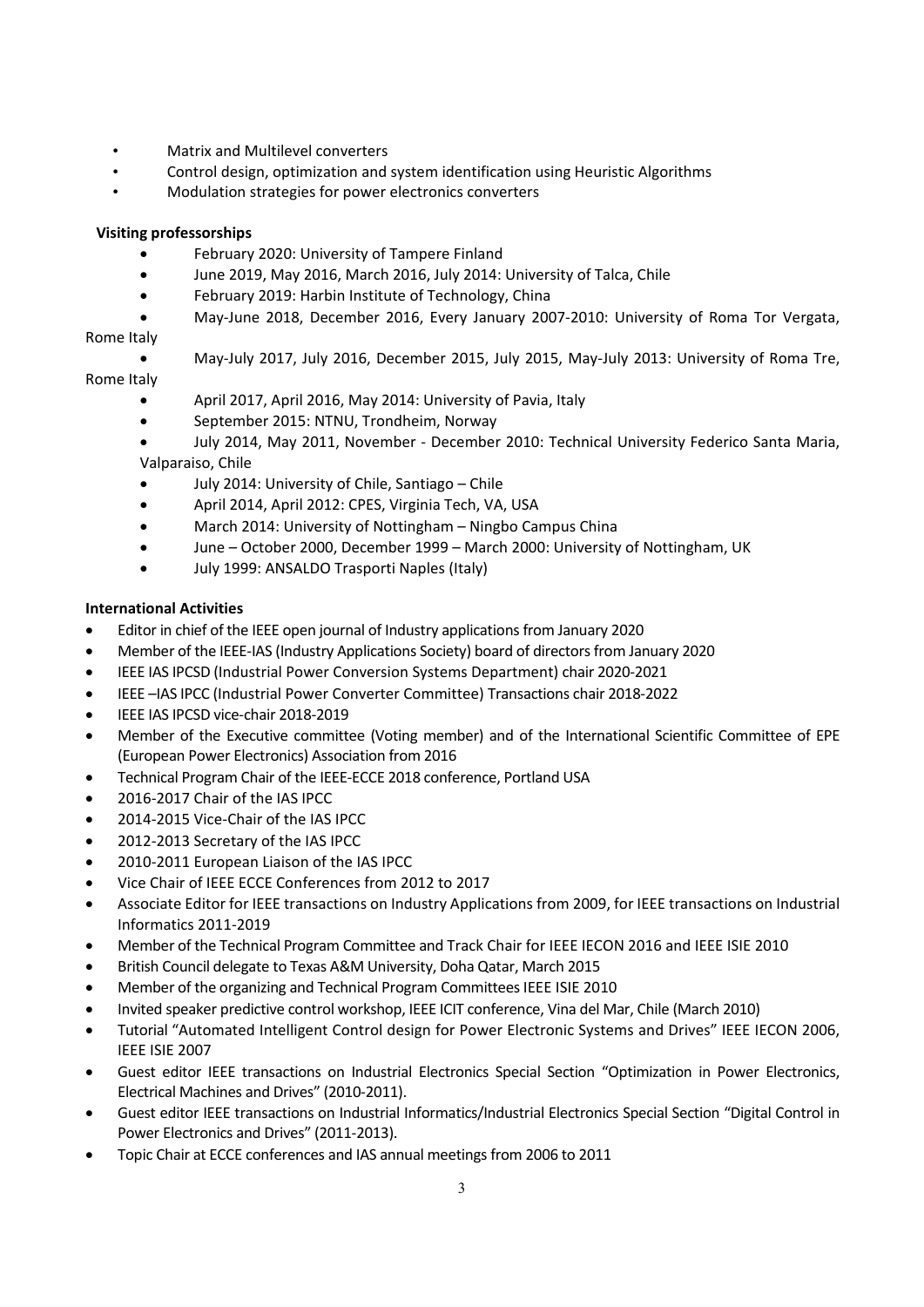- Matrix and Multilevel converters
- Control design, optimization and system identification using Heuristic Algorithms
- Modulation strategies for power electronics converters

# **Visiting professorships**

- February 2020: University of Tampere Finland
- June 2019, May 2016, March 2016, July 2014: University of Talca, Chile
- February 2019: Harbin Institute of Technology, China
- May‐June 2018, December 2016, Every January 2007‐2010: University of Roma Tor Vergata,

# Rome Italy

May‐July 2017, July 2016, December 2015, July 2015, May‐July 2013: University of Roma Tre,

# Rome Italy

- April 2017, April 2016, May 2014: University of Pavia, Italy
- September 2015: NTNU, Trondheim, Norway
- July 2014, May 2011, November ‐ December 2010: Technical University Federico Santa Maria, Valparaiso, Chile
- July 2014: University of Chile, Santiago Chile
- April 2014, April 2012: CPES, Virginia Tech, VA, USA
- March 2014: University of Nottingham Ningbo Campus China
- June October 2000, December 1999 March 2000: University of Nottingham, UK
- July 1999: ANSALDO Trasporti Naples (Italy)

# **International Activities**

- Editor in chief of the IEEE open journal of Industry applications from January 2020
- Member of the IEEE-IAS (Industry Applications Society) board of directors from January 2020
- IEEE IAS IPCSD (Industrial Power Conversion Systems Department) chair 2020‐2021
- IEEE –IAS IPCC (Industrial Power Converter Committee) Transactions chair 2018‐2022
- IEEE IAS IPCSD vice-chair 2018-2019
- Member of the Executive committee (Voting member) and of the International Scientific Committee of EPE (European Power Electronics) Association from 2016
- Technical Program Chair of the IEEE-ECCE 2018 conference, Portland USA
- 2016-2017 Chair of the IAS IPCC
- 2014-2015 Vice-Chair of the IAS IPCC
- 2012‐2013 Secretary of the IAS IPCC
- 2010‐2011 European Liaison of the IAS IPCC
- Vice Chair of IEEE ECCE Conferences from 2012 to 2017
- Associate Editor for IEEE transactions on Industry Applications from 2009, for IEEE transactions on Industrial Informatics 2011‐2019
- Member of the Technical Program Committee and Track Chair for IEEE IECON 2016 and IEEE ISIE 2010
- British Council delegate to Texas A&M University, Doha Qatar, March 2015
- Member of the organizing and Technical Program Committees IEEE ISIE 2010
- Invited speaker predictive control workshop, IEEE ICIT conference, Vina del Mar, Chile (March 2010)
- Tutorial "Automated Intelligent Control design for Power Electronic Systems and Drives" IEEE IECON 2006, IEEE ISIE 2007
- Guest editor IEEE transactions on Industrial Electronics Special Section "Optimization in Power Electronics, Electrical Machines and Drives" (2010‐2011).
- Guest editor IEEE transactions on Industrial Informatics/Industrial Electronics Special Section "Digital Control in Power Electronics and Drives" (2011‐2013).
- Topic Chair at ECCE conferences and IAS annual meetings from 2006 to 2011